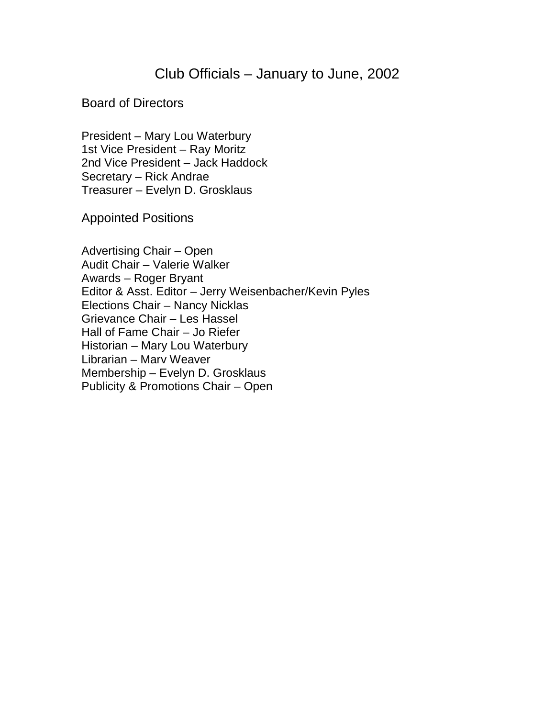## Club Officials – January to June, 2002

## Board of Directors

President – Mary Lou Waterbury 1st Vice President – Ray Moritz 2nd Vice President – Jack Haddock Secretary – Rick Andrae Treasurer – Evelyn D. Grosklaus

Appointed Positions

Advertising Chair – Open Audit Chair – Valerie Walker Awards – Roger Bryant Editor & Asst. Editor – Jerry Weisenbacher/Kevin Pyles Elections Chair – Nancy Nicklas Grievance Chair – Les Hassel Hall of Fame Chair – Jo Riefer Historian – Mary Lou Waterbury Librarian – Marv Weaver Membership – Evelyn D. Grosklaus Publicity & Promotions Chair – Open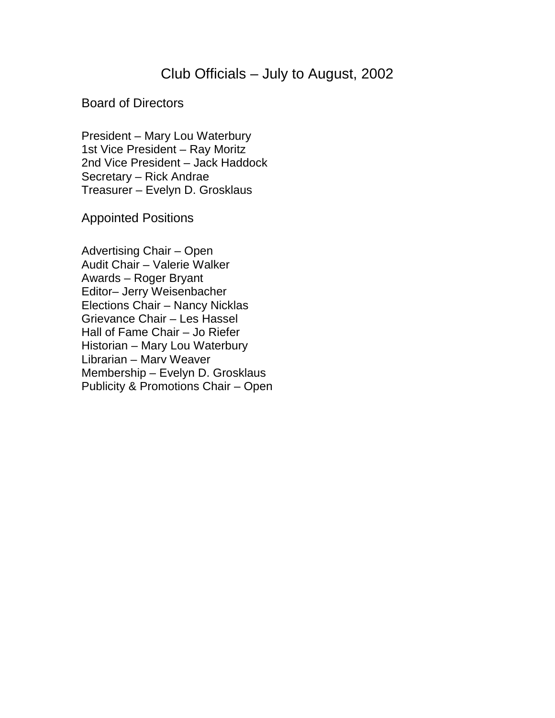## Club Officials – July to August, 2002

## Board of Directors

President – Mary Lou Waterbury 1st Vice President – Ray Moritz 2nd Vice President – Jack Haddock Secretary – Rick Andrae Treasurer – Evelyn D. Grosklaus

Appointed Positions

Advertising Chair – Open Audit Chair – Valerie Walker Awards – Roger Bryant Editor– Jerry Weisenbacher Elections Chair – Nancy Nicklas Grievance Chair – Les Hassel Hall of Fame Chair – Jo Riefer Historian – Mary Lou Waterbury Librarian – Marv Weaver Membership – Evelyn D. Grosklaus Publicity & Promotions Chair – Open